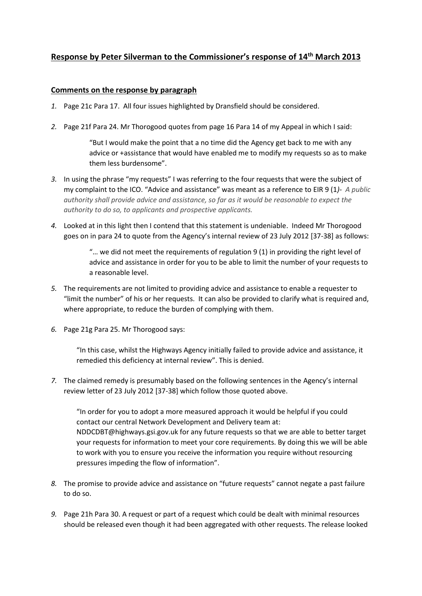# **Response by Peter Silverman to the Commissioner's response of 14th March 2013**

# **Comments on the response by paragraph**

- *1.* Page 21c Para 17. All four issues highlighted by Dransfield should be considered.
- *2.* Page 21f Para 24. Mr Thorogood quotes from page 16 Para 14 of my Appeal in which I said:

"But I would make the point that a no time did the Agency get back to me with any advice or +assistance that would have enabled me to modify my requests so as to make them less burdensome".

- *3.* In using the phrase "my requests" I was referring to the four requests that were the subject of my complaint to the ICO. "Advice and assistance" was meant as a reference to EIR 9 (1*)- A public authority shall provide advice and assistance, so far as it would be reasonable to expect the authority to do so, to applicants and prospective applicants.*
- *4.* Looked at in this light then I contend that this statement is undeniable. Indeed Mr Thorogood goes on in para 24 to quote from the Agency's internal review of 23 July 2012 [37-38] as follows:

"... we did not meet the requirements of regulation  $9(1)$  in providing the right level of advice and assistance in order for you to be able to limit the number of your requests to a reasonable level.

- *5.* The requirements are not limited to providing advice and assistance to enable a requester to "limit the number" of his or her requests. It can also be provided to clarify what is required and, where appropriate, to reduce the burden of complying with them.
- *6.* Page 21g Para 25. Mr Thorogood says:

"In this case, whilst the Highways Agency initially failed to provide advice and assistance, it remedied this deficiency at internal review". This is denied.

*7.* The claimed remedy is presumably based on the following sentences in the Agency's internal review letter of 23 July 2012 [37-38] which follow those quoted above.

"In order for you to adopt a more measured approach it would be helpful if you could contact our central Network Development and Delivery team at: NDDCDBT@highways.gsi.gov.uk for any future requests so that we are able to better target your requests for information to meet your core requirements. By doing this we will be able to work with you to ensure you receive the information you require without resourcing pressures impeding the flow of information".

- *8.* The promise to provide advice and assistance on "future requests" cannot negate a past failure to do so.
- *9.* Page 21h Para 30. A request or part of a request which could be dealt with minimal resources should be released even though it had been aggregated with other requests. The release looked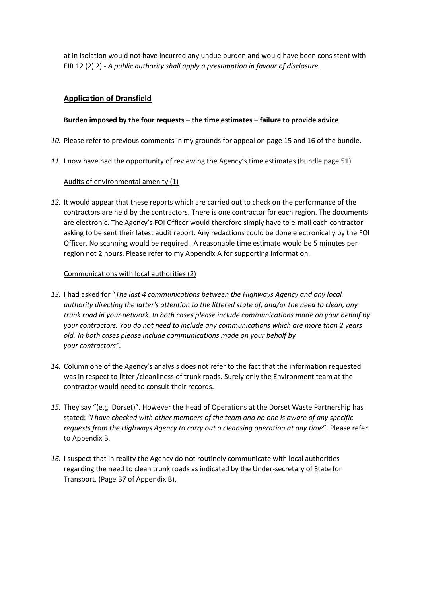at in isolation would not have incurred any undue burden and would have been consistent with EIR 12 (2) 2) - *A public authority shall apply a presumption in favour of disclosure.*

# **Application of Dransfield**

# **Burden imposed by the four requests – the time estimates – failure to provide advice**

- *10.* Please refer to previous comments in my grounds for appeal on page 15 and 16 of the bundle.
- *11.* I now have had the opportunity of reviewing the Agency's time estimates (bundle page 51).

# Audits of environmental amenity (1)

*12.* It would appear that these reports which are carried out to check on the performance of the contractors are held by the contractors. There is one contractor for each region. The documents are electronic. The Agency's FOI Officer would therefore simply have to e-mail each contractor asking to be sent their latest audit report. Any redactions could be done electronically by the FOI Officer. No scanning would be required. A reasonable time estimate would be 5 minutes per region not 2 hours. Please refer to my Appendix A for supporting information.

## Communications with local authorities (2)

- *13.* I had asked for "*The last 4 communications between the Highways Agency and any local authority directing the latter's attention to the littered state of, and/or the need to clean, any trunk road in your network. In both cases please include communications made on your behalf by your contractors. You do not need to include any communications which are more than 2 years old. In both cases please include communications made on your behalf by your contractors".*
- *14.* Column one of the Agency's analysis does not refer to the fact that the information requested was in respect to litter /cleanliness of trunk roads. Surely only the Environment team at the contractor would need to consult their records.
- *15.* They say "(e.g. Dorset)". However the Head of Operations at the Dorset Waste Partnership has stated: *"I have checked with other members of the team and no one is aware of any specific requests from the Highways Agency to carry out a cleansing operation at any time*". Please refer to Appendix B.
- *16.* I suspect that in reality the Agency do not routinely communicate with local authorities regarding the need to clean trunk roads as indicated by the Under-secretary of State for Transport. (Page B7 of Appendix B).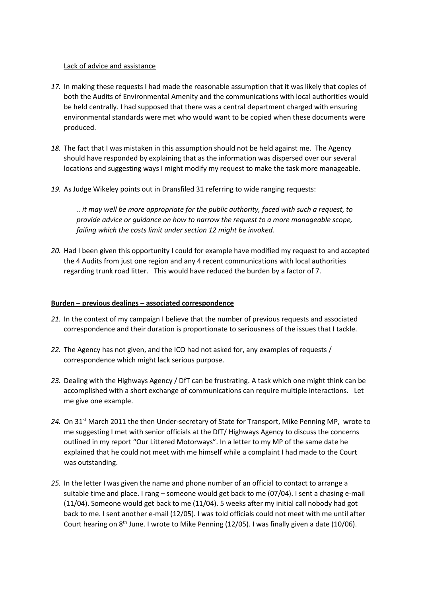#### Lack of advice and assistance

- *17.* In making these requests I had made the reasonable assumption that it was likely that copies of both the Audits of Environmental Amenity and the communications with local authorities would be held centrally. I had supposed that there was a central department charged with ensuring environmental standards were met who would want to be copied when these documents were produced.
- *18.* The fact that I was mistaken in this assumption should not be held against me. The Agency should have responded by explaining that as the information was dispersed over our several locations and suggesting ways I might modify my request to make the task more manageable.
- *19.* As Judge Wikeley points out in Dransfiled 31 referring to wide ranging requests:

*.. it may well be more appropriate for the public authority, faced with such a request, to provide advice or guidance on how to narrow the request to a more manageable scope, failing which the costs limit under section 12 might be invoked.* 

*20.* Had I been given this opportunity I could for example have modified my request to and accepted the 4 Audits from just one region and any 4 recent communications with local authorities regarding trunk road litter. This would have reduced the burden by a factor of 7.

#### **Burden – previous dealings – associated correspondence**

- *21.* In the context of my campaign I believe that the number of previous requests and associated correspondence and their duration is proportionate to seriousness of the issues that I tackle.
- *22.* The Agency has not given, and the ICO had not asked for, any examples of requests / correspondence which might lack serious purpose.
- *23.* Dealing with the Highways Agency / DfT can be frustrating. A task which one might think can be accomplished with a short exchange of communications can require multiple interactions. Let me give one example.
- 24. On 31<sup>st</sup> March 2011 the then Under-secretary of State for Transport, Mike Penning MP, wrote to me suggesting I met with senior officials at the DfT/ Highways Agency to discuss the concerns outlined in my report "Our Littered Motorways". In a letter to my MP of the same date he explained that he could not meet with me himself while a complaint I had made to the Court was outstanding.
- *25.* In the letter I was given the name and phone number of an official to contact to arrange a suitable time and place. I rang – someone would get back to me (07/04). I sent a chasing e-mail (11/04). Someone would get back to me (11/04). 5 weeks after my initial call nobody had got back to me. I sent another e-mail (12/05). I was told officials could not meet with me until after Court hearing on  $8<sup>th</sup>$  June. I wrote to Mike Penning (12/05). I was finally given a date (10/06).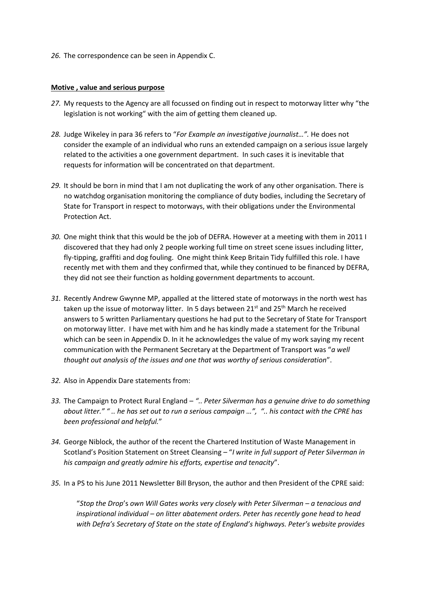*26.* The correspondence can be seen in Appendix C.

#### **Motive , value and serious purpose**

- *27.* My requests to the Agency are all focussed on finding out in respect to motorway litter why "the legislation is not working" with the aim of getting them cleaned up.
- *28.* Judge Wikeley in para 36 refers to "*For Example an investigative journalist…".* He does not consider the example of an individual who runs an extended campaign on a serious issue largely related to the activities a one government department. In such cases it is inevitable that requests for information will be concentrated on that department.
- *29.* It should be born in mind that I am not duplicating the work of any other organisation. There is no watchdog organisation monitoring the compliance of duty bodies, including the Secretary of State for Transport in respect to motorways, with their obligations under the Environmental Protection Act.
- *30.* One might think that this would be the job of DEFRA. However at a meeting with them in 2011 I discovered that they had only 2 people working full time on street scene issues including litter, fly-tipping, graffiti and dog fouling. One might think Keep Britain Tidy fulfilled this role. I have recently met with them and they confirmed that, while they continued to be financed by DEFRA, they did not see their function as holding government departments to account.
- *31.* Recently Andrew Gwynne MP, appalled at the littered state of motorways in the north west has taken up the issue of motorway litter. In 5 days between  $21<sup>st</sup>$  and  $25<sup>th</sup>$  March he received answers to 5 written Parliamentary questions he had put to the Secretary of State for Transport on motorway litter. I have met with him and he has kindly made a statement for the Tribunal which can be seen in Appendix D. In it he acknowledges the value of my work saying my recent communication with the Permanent Secretary at the Department of Transport was "*a well thought out analysis of the issues and one that was worthy of serious consideration*".
- *32.* Also in Appendix Dare statements from:
- *33.* The Campaign to Protect Rural England *".. Peter Silverman has a genuine drive to do something about litter." " .. he has set out to run a serious campaign …", ".. his contact with the CPRE has been professional and helpful.*"
- *34.* George Niblock, the author of the recent the Chartered Institution of Waste Management in Scotland's Position Statement on Street Cleansing – "*I write in full support of Peter Silverman in his campaign and greatly admire his efforts, expertise and tenacity*".
- *35.* In a PS to his June 2011 Newsletter Bill Bryson, the author and then President of the CPRE said:

"Stop the Drop's own Will Gates works very closely with Peter Silverman – a tenacious and *inspirational individual – on litter abatement orders. Peter has recently gone head to head with Defra's Secretary of State on the state of England's highways. Peter's website provides*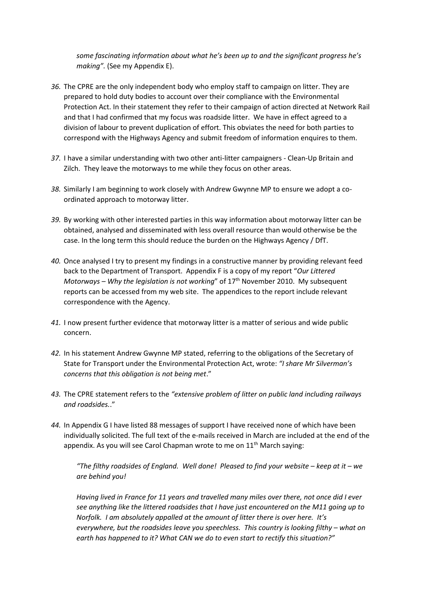*some fascinating information about what he's been up to and the significant progress he's making".* (See my Appendix E).

- *36.* The CPRE are the only independent body who employ staff to campaign on litter. They are prepared to hold duty bodies to account over their compliance with the Environmental Protection Act. In their statement they refer to their campaign of action directed at Network Rail and that I had confirmed that my focus was roadside litter. We have in effect agreed to a division of labour to prevent duplication of effort. This obviates the need for both parties to correspond with the Highways Agency and submit freedom of information enquires to them.
- *37.* I have a similar understanding with two other anti-litter campaigners Clean-Up Britain and Zilch. They leave the motorways to me while they focus on other areas.
- *38.* Similarly I am beginning to work closely with Andrew Gwynne MP to ensure we adopt a coordinated approach to motorway litter.
- *39.* By working with other interested parties in this way information about motorway litter can be obtained, analysed and disseminated with less overall resource than would otherwise be the case. In the long term this should reduce the burden on the Highways Agency / DfT.
- *40.* Once analysed I try to present my findings in a constructive manner by providing relevant feed back to the Department of Transport. Appendix F is a copy of my report "*Our Littered Motorways – Why the legislation is not working*" of 17th November 2010. My subsequent reports can be accessed from my web site. The appendices to the report include relevant correspondence with the Agency.
- *41.* I now present further evidence that motorway litter is a matter of serious and wide public concern.
- *42.* In his statement Andrew Gwynne MP stated, referring to the obligations of the Secretary of State for Transport under the Environmental Protection Act, wrote: *"I share Mr Silverman's concerns that this obligation is not being met*."
- *43.* The CPRE statement refers to the *"extensive problem of litter on public land including railways and roadsides.*."
- *44.* In Appendix G I have listed 88 messages of support I have received none of which have been individually solicited. The full text of the e-mails received in March are included at the end of the appendix. As you will see Carol Chapman wrote to me on  $11<sup>th</sup>$  March saying:

*"The filthy roadsides of England. Well done! Pleased to find your website – keep at it – we are behind you!* 

*Having lived in France for 11 years and travelled many miles over there, not once did I ever see anything like the littered roadsides that I have just encountered on the M11 going up to Norfolk. I am absolutely appalled at the amount of litter there is over here. It's everywhere, but the roadsides leave you speechless. This country is looking filthy – what on earth has happened to it? What CAN we do to even start to rectify this situation?"*